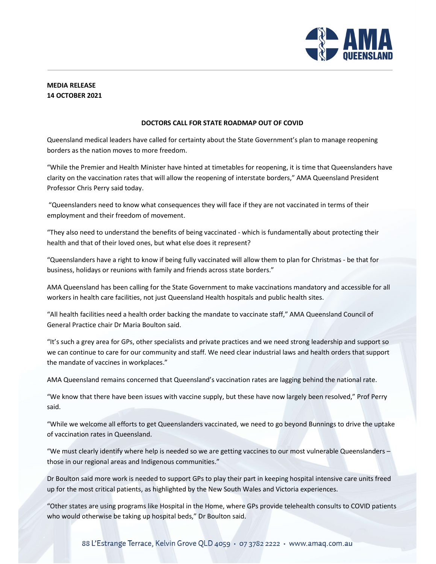

## MEDIA RELEASE 14 OCTOBER 2021

## DOCTORS CALL FOR STATE ROADMAP OUT OF COVID

Queensland medical leaders have called for certainty about the State Government's plan to manage reopening borders as the nation moves to more freedom.

"While the Premier and Health Minister have hinted at timetables for reopening, it is time that Queenslanders have clarity on the vaccination rates that will allow the reopening of interstate borders," AMA Queensland President Professor Chris Perry said today.

 "Queenslanders need to know what consequences they will face if they are not vaccinated in terms of their employment and their freedom of movement.

"They also need to understand the benefits of being vaccinated - which is fundamentally about protecting their health and that of their loved ones, but what else does it represent?

"Queenslanders have a right to know if being fully vaccinated will allow them to plan for Christmas - be that for business, holidays or reunions with family and friends across state borders."

AMA Queensland has been calling for the State Government to make vaccinations mandatory and accessible for all workers in health care facilities, not just Queensland Health hospitals and public health sites.

"All health facilities need a health order backing the mandate to vaccinate staff," AMA Queensland Council of General Practice chair Dr Maria Boulton said.

"It's such a grey area for GPs, other specialists and private practices and we need strong leadership and support so we can continue to care for our community and staff. We need clear industrial laws and health orders that support the mandate of vaccines in workplaces."

AMA Queensland remains concerned that Queensland's vaccination rates are lagging behind the national rate.

"We know that there have been issues with vaccine supply, but these have now largely been resolved," Prof Perry said.

"While we welcome all efforts to get Queenslanders vaccinated, we need to go beyond Bunnings to drive the uptake of vaccination rates in Queensland.

"We must clearly identify where help is needed so we are getting vaccines to our most vulnerable Queenslanders – those in our regional areas and Indigenous communities."

Dr Boulton said more work is needed to support GPs to play their part in keeping hospital intensive care units freed up for the most critical patients, as highlighted by the New South Wales and Victoria experiences.

"Other states are using programs like Hospital in the Home, where GPs provide telehealth consults to COVID patients who would otherwise be taking up hospital beds," Dr Boulton said.